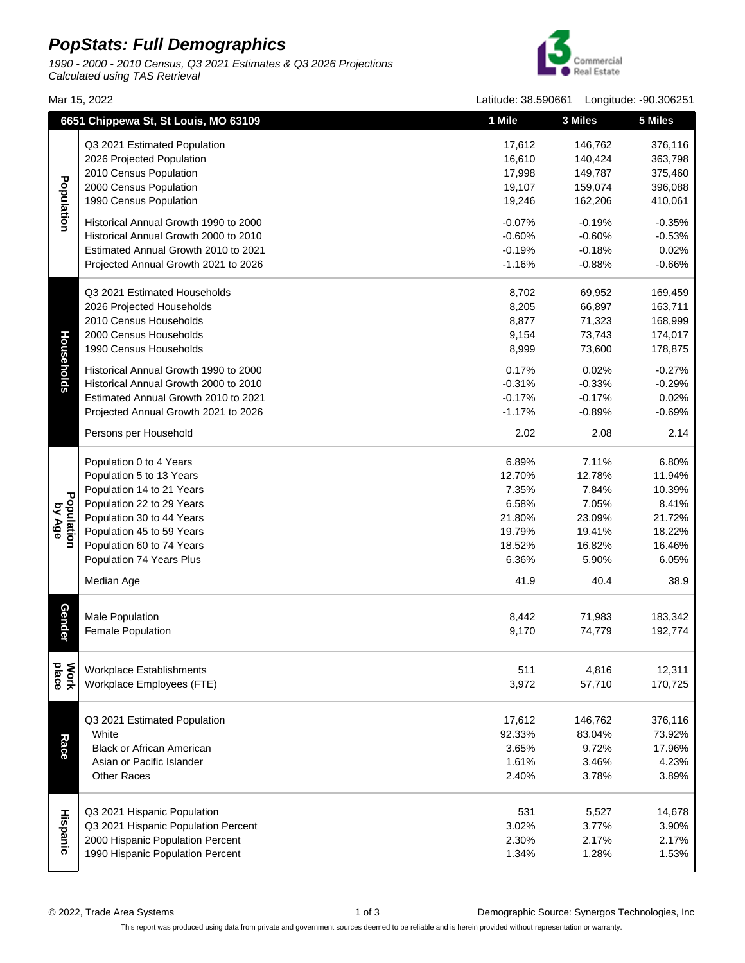## **PopStats: Full Demographics**

1990 - 2000 - 2010 Census, Q3 2021 Estimates & Q3 2026 Projections Calculated using TAS Retrieval



Mar 15, 2022 Latitude: 38.590661 Longitude: -90.306251

|                      | 6651 Chippewa St, St Louis, MO 63109  | 1 Mile   | 3 Miles  | 5 Miles  |
|----------------------|---------------------------------------|----------|----------|----------|
| Population           | Q3 2021 Estimated Population          | 17,612   | 146,762  | 376,116  |
|                      | 2026 Projected Population             | 16,610   | 140,424  | 363,798  |
|                      | 2010 Census Population                | 17,998   | 149,787  | 375,460  |
|                      | 2000 Census Population                | 19,107   | 159,074  | 396,088  |
|                      | 1990 Census Population                | 19,246   | 162,206  | 410,061  |
|                      |                                       |          |          |          |
|                      | Historical Annual Growth 1990 to 2000 | $-0.07%$ | $-0.19%$ | $-0.35%$ |
|                      | Historical Annual Growth 2000 to 2010 | $-0.60%$ | $-0.60%$ | $-0.53%$ |
|                      | Estimated Annual Growth 2010 to 2021  | $-0.19%$ | $-0.18%$ | 0.02%    |
|                      | Projected Annual Growth 2021 to 2026  | $-1.16%$ | $-0.88%$ | $-0.66%$ |
|                      | Q3 2021 Estimated Households          | 8,702    | 69,952   | 169,459  |
|                      | 2026 Projected Households             | 8,205    | 66,897   | 163,711  |
|                      | 2010 Census Households                | 8,877    | 71,323   | 168,999  |
|                      | 2000 Census Households                | 9,154    | 73,743   | 174,017  |
|                      | 1990 Census Households                | 8,999    | 73,600   | 178,875  |
| Households           | Historical Annual Growth 1990 to 2000 | 0.17%    | 0.02%    | $-0.27%$ |
|                      | Historical Annual Growth 2000 to 2010 | $-0.31%$ | $-0.33%$ | $-0.29%$ |
|                      | Estimated Annual Growth 2010 to 2021  | $-0.17%$ | $-0.17%$ | 0.02%    |
|                      | Projected Annual Growth 2021 to 2026  | $-1.17%$ | $-0.89%$ | $-0.69%$ |
|                      | Persons per Household                 | 2.02     | 2.08     | 2.14     |
|                      |                                       |          |          |          |
|                      | Population 0 to 4 Years               | 6.89%    | 7.11%    | 6.80%    |
|                      | Population 5 to 13 Years              | 12.70%   | 12.78%   | 11.94%   |
|                      | Population 14 to 21 Years             | 7.35%    | 7.84%    | 10.39%   |
|                      | Population 22 to 29 Years             | 6.58%    | 7.05%    | 8.41%    |
| Population<br>by Age | Population 30 to 44 Years             | 21.80%   | 23.09%   | 21.72%   |
|                      | Population 45 to 59 Years             | 19.79%   | 19.41%   | 18.22%   |
|                      | Population 60 to 74 Years             | 18.52%   | 16.82%   | 16.46%   |
|                      | Population 74 Years Plus              | 6.36%    | 5.90%    | 6.05%    |
|                      | Median Age                            | 41.9     | 40.4     | 38.9     |
|                      |                                       |          |          |          |
| <b>Gender</b>        | <b>Male Population</b>                | 8,442    | 71,983   | 183,342  |
|                      | <b>Female Population</b>              | 9,170    | 74,779   | 192,774  |
|                      | Workplace Establishments              | 511      | 4,816    | 12,311   |
| place<br><b>Mork</b> | Workplace Employees (FTE)             | 3,972    | 57,710   | 170,725  |
|                      |                                       |          |          |          |
|                      | Q3 2021 Estimated Population          | 17,612   | 146,762  | 376,116  |
|                      | White                                 | 92.33%   | 83.04%   | 73.92%   |
| Race                 | <b>Black or African American</b>      | 3.65%    | 9.72%    | 17.96%   |
|                      | Asian or Pacific Islander             | 1.61%    | 3.46%    | 4.23%    |
|                      | <b>Other Races</b>                    | 2.40%    | 3.78%    | 3.89%    |
| <b>Hispanic</b>      |                                       |          |          |          |
|                      | Q3 2021 Hispanic Population           | 531      | 5,527    | 14,678   |
|                      | Q3 2021 Hispanic Population Percent   | 3.02%    | 3.77%    | 3.90%    |
|                      | 2000 Hispanic Population Percent      | 2.30%    | 2.17%    | 2.17%    |
|                      | 1990 Hispanic Population Percent      | 1.34%    | 1.28%    | 1.53%    |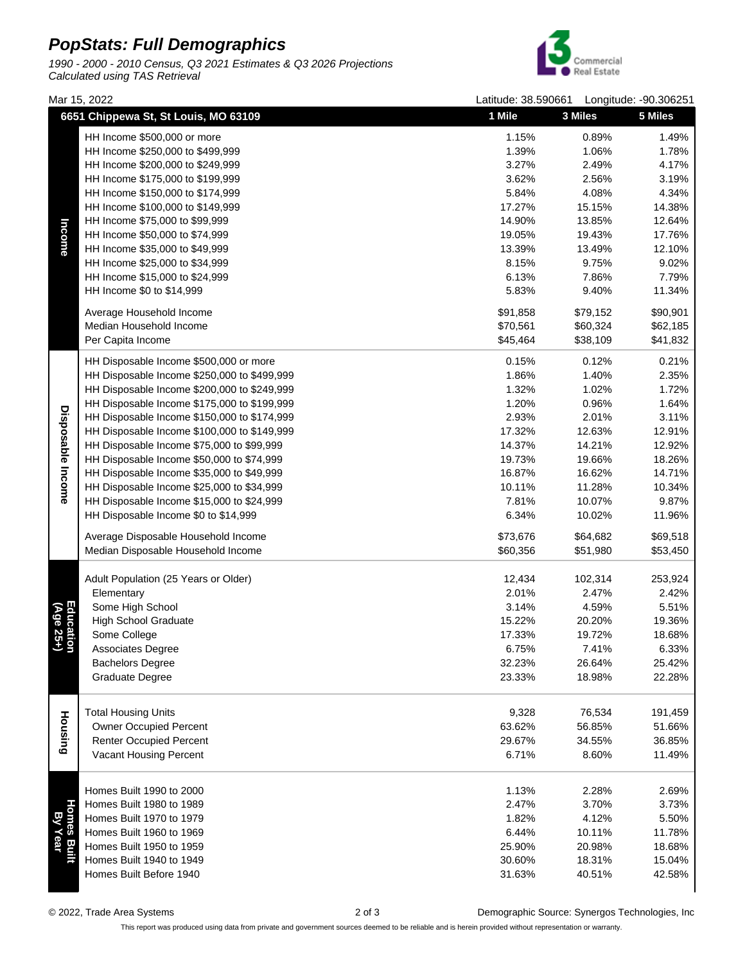## **PopStats: Full Demographics**

1990 - 2000 - 2010 Census, Q3 2021 Estimates & Q3 2026 Projections Calculated using TAS Retrieval



14.90% 13.85% 12.64% 17.27% 15.15% 14.38% 5.84% 4.08% 4.34% 3.62% 2.56% 3.19% 3.27% 2.49% 4.17% 1.39% 1.06% 1.78% 1.15% 0.89% 1.49%

Mar 15, 2022 Latitude: 38.590661 Longitude: -90.306251 **6651 Chippewa St, St Louis, MO 63109 1 Mile 3 Miles 5 Miles**HH Income \$500,000 or more HH Income \$250,000 to \$499,999 HH Income \$200,000 to \$249,999 HH Income \$175,000 to \$199,999 HH Income \$150,000 to \$174,999 HH Income \$100,000 to \$149,999 HH Income \$75,000 to \$99,999  $\overline{a}$ HH Income \$50,000 to \$74,999 HH Income \$35,000 to \$49,999 HH Income \$25,000 to \$34,999

| ncome                  | LILL INCOUNS \$1.2 000 TO \$88,888          | 14.90%   | 13.00%   | IZ.04%   |
|------------------------|---------------------------------------------|----------|----------|----------|
|                        | HH Income \$50,000 to \$74,999              | 19.05%   | 19.43%   | 17.76%   |
|                        | HH Income \$35,000 to \$49,999              | 13.39%   | 13.49%   | 12.10%   |
|                        | HH Income \$25,000 to \$34,999              | 8.15%    | 9.75%    | 9.02%    |
|                        |                                             |          |          |          |
|                        | HH Income \$15,000 to \$24,999              | 6.13%    | 7.86%    | 7.79%    |
|                        | HH Income \$0 to \$14,999                   | 5.83%    | 9.40%    | 11.34%   |
|                        | Average Household Income                    | \$91,858 | \$79,152 | \$90,901 |
|                        | Median Household Income                     | \$70,561 | \$60,324 | \$62,185 |
|                        | Per Capita Income                           | \$45,464 | \$38,109 | \$41,832 |
|                        | HH Disposable Income \$500,000 or more      | 0.15%    | 0.12%    | 0.21%    |
|                        | HH Disposable Income \$250,000 to \$499,999 | 1.86%    | 1.40%    | 2.35%    |
| Disposable Income      | HH Disposable Income \$200,000 to \$249,999 | 1.32%    | 1.02%    | 1.72%    |
|                        | HH Disposable Income \$175,000 to \$199,999 | 1.20%    | 0.96%    | 1.64%    |
|                        | HH Disposable Income \$150,000 to \$174,999 | 2.93%    | 2.01%    | 3.11%    |
|                        | HH Disposable Income \$100,000 to \$149,999 | 17.32%   | 12.63%   | 12.91%   |
|                        | HH Disposable Income \$75,000 to \$99,999   | 14.37%   | 14.21%   | 12.92%   |
|                        | HH Disposable Income \$50,000 to \$74,999   | 19.73%   | 19.66%   | 18.26%   |
|                        | HH Disposable Income \$35,000 to \$49,999   | 16.87%   | 16.62%   | 14.71%   |
|                        | HH Disposable Income \$25,000 to \$34,999   | 10.11%   | 11.28%   | 10.34%   |
|                        | HH Disposable Income \$15,000 to \$24,999   | 7.81%    | 10.07%   | 9.87%    |
|                        | HH Disposable Income \$0 to \$14,999        | 6.34%    | 10.02%   | 11.96%   |
|                        |                                             |          |          |          |
|                        | Average Disposable Household Income         | \$73,676 | \$64,682 | \$69,518 |
|                        | Median Disposable Household Income          | \$60,356 | \$51,980 | \$53,450 |
|                        |                                             |          |          |          |
|                        | Adult Population (25 Years or Older)        | 12,434   | 102,314  | 253,924  |
|                        | Elementary                                  | 2.01%    | 2.47%    | 2.42%    |
|                        | Some High School                            | 3.14%    | 4.59%    | 5.51%    |
|                        | <b>High School Graduate</b>                 | 15.22%   | 20.20%   | 19.36%   |
| Education<br>(Age 25+) | Some College                                | 17.33%   | 19.72%   | 18.68%   |
|                        | Associates Degree                           | 6.75%    | 7.41%    | 6.33%    |
|                        | <b>Bachelors Degree</b>                     | 32.23%   | 26.64%   | 25.42%   |
|                        | <b>Graduate Degree</b>                      | 23.33%   | 18.98%   | 22.28%   |
|                        |                                             |          |          |          |
|                        | <b>Total Housing Units</b>                  | 9,328    | 76,534   | 191,459  |
| Housing                | <b>Owner Occupied Percent</b>               | 63.62%   | 56.85%   | 51.66%   |
|                        | <b>Renter Occupied Percent</b>              | 29.67%   | 34.55%   | 36.85%   |
|                        | Vacant Housing Percent                      | 6.71%    | 8.60%    | 11.49%   |
|                        |                                             |          |          |          |
|                        | Homes Built 1990 to 2000                    | 1.13%    | 2.28%    | 2.69%    |
| Λg                     | Homes Built 1980 to 1989                    | 2.47%    | 3.70%    | 3.73%    |
|                        | Homes Built 1970 to 1979                    | 1.82%    | 4.12%    | 5.50%    |
|                        | Homes Built 1960 to 1969                    | 6.44%    | 10.11%   | 11.78%   |
|                        | Homes Built 1950 to 1959                    | 25.90%   | 20.98%   | 18.68%   |
|                        | Homes Built 1940 to 1949                    | 30.60%   | 18.31%   | 15.04%   |
|                        | Homes Built Before 1940                     | 31.63%   | 40.51%   | 42.58%   |

© 2022, Trade Area Systems 2 of 3 Demographic Source: Synergos Technologies, Inc

This report was produced using data from private and government sources deemed to be reliable and is herein provided without representation or warranty.